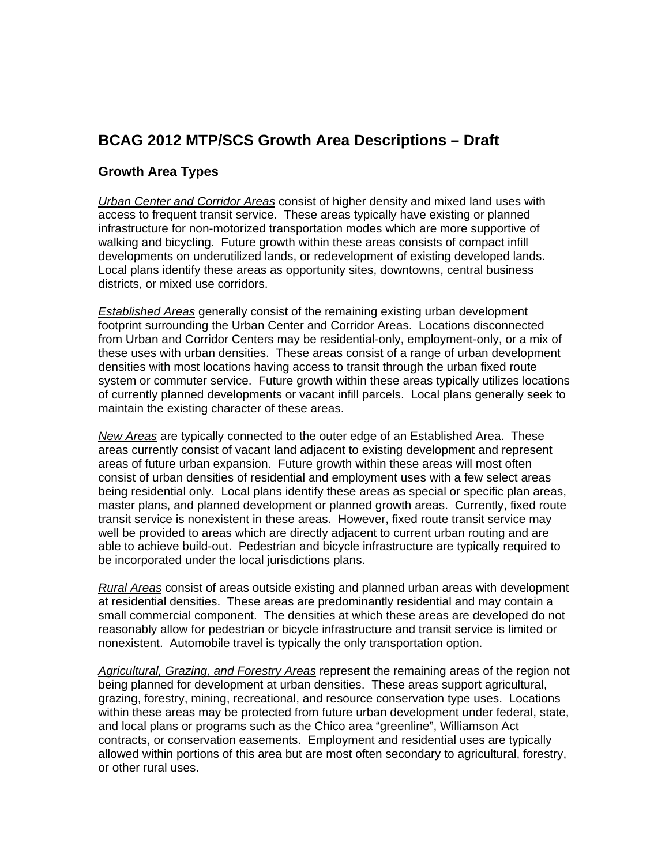## **BCAG 2012 MTP/SCS Growth Area Descriptions – Draft**

## **Growth Area Types**

*Urban Center and Corridor Areas* consist of higher density and mixed land uses with access to frequent transit service. These areas typically have existing or planned infrastructure for non-motorized transportation modes which are more supportive of walking and bicycling. Future growth within these areas consists of compact infill developments on underutilized lands, or redevelopment of existing developed lands. Local plans identify these areas as opportunity sites, downtowns, central business districts, or mixed use corridors.

*Established Areas* generally consist of the remaining existing urban development footprint surrounding the Urban Center and Corridor Areas. Locations disconnected from Urban and Corridor Centers may be residential-only, employment-only, or a mix of these uses with urban densities. These areas consist of a range of urban development densities with most locations having access to transit through the urban fixed route system or commuter service. Future growth within these areas typically utilizes locations of currently planned developments or vacant infill parcels. Local plans generally seek to maintain the existing character of these areas.

*New Areas* are typically connected to the outer edge of an Established Area. These areas currently consist of vacant land adjacent to existing development and represent areas of future urban expansion. Future growth within these areas will most often consist of urban densities of residential and employment uses with a few select areas being residential only. Local plans identify these areas as special or specific plan areas, master plans, and planned development or planned growth areas. Currently, fixed route transit service is nonexistent in these areas. However, fixed route transit service may well be provided to areas which are directly adjacent to current urban routing and are able to achieve build-out. Pedestrian and bicycle infrastructure are typically required to be incorporated under the local jurisdictions plans.

*Rural Areas* consist of areas outside existing and planned urban areas with development at residential densities. These areas are predominantly residential and may contain a small commercial component. The densities at which these areas are developed do not reasonably allow for pedestrian or bicycle infrastructure and transit service is limited or nonexistent. Automobile travel is typically the only transportation option.

*Agricultural, Grazing, and Forestry Areas* represent the remaining areas of the region not being planned for development at urban densities. These areas support agricultural, grazing, forestry, mining, recreational, and resource conservation type uses. Locations within these areas may be protected from future urban development under federal, state, and local plans or programs such as the Chico area "greenline", Williamson Act contracts, or conservation easements. Employment and residential uses are typically allowed within portions of this area but are most often secondary to agricultural, forestry, or other rural uses.